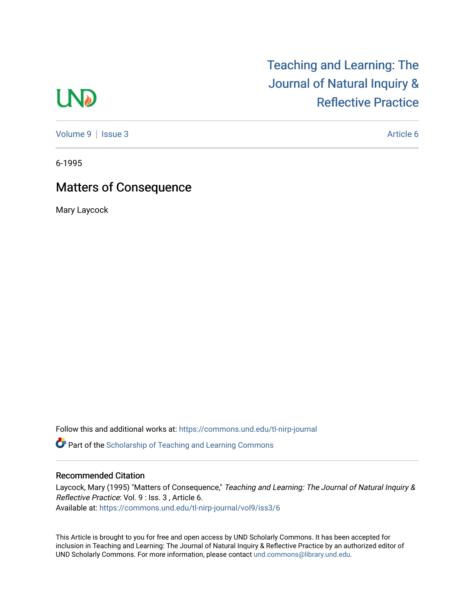## **LND**

[Teaching and Learning: The](https://commons.und.edu/tl-nirp-journal)  [Journal of Natural Inquiry &](https://commons.und.edu/tl-nirp-journal)  [Reflective Practice](https://commons.und.edu/tl-nirp-journal) 

[Volume 9](https://commons.und.edu/tl-nirp-journal/vol9) | [Issue 3](https://commons.und.edu/tl-nirp-journal/vol9/iss3) Article 6

6-1995

## Matters of Consequence

Mary Laycock

Follow this and additional works at: [https://commons.und.edu/tl-nirp-journal](https://commons.und.edu/tl-nirp-journal?utm_source=commons.und.edu%2Ftl-nirp-journal%2Fvol9%2Fiss3%2F6&utm_medium=PDF&utm_campaign=PDFCoverPages) 

**C** Part of the Scholarship of Teaching and Learning Commons

## Recommended Citation

Laycock, Mary (1995) "Matters of Consequence," Teaching and Learning: The Journal of Natural Inquiry & Reflective Practice: Vol. 9 : Iss. 3 , Article 6. Available at: [https://commons.und.edu/tl-nirp-journal/vol9/iss3/6](https://commons.und.edu/tl-nirp-journal/vol9/iss3/6?utm_source=commons.und.edu%2Ftl-nirp-journal%2Fvol9%2Fiss3%2F6&utm_medium=PDF&utm_campaign=PDFCoverPages)

This Article is brought to you for free and open access by UND Scholarly Commons. It has been accepted for inclusion in Teaching and Learning: The Journal of Natural Inquiry & Reflective Practice by an authorized editor of UND Scholarly Commons. For more information, please contact [und.commons@library.und.edu.](mailto:und.commons@library.und.edu)